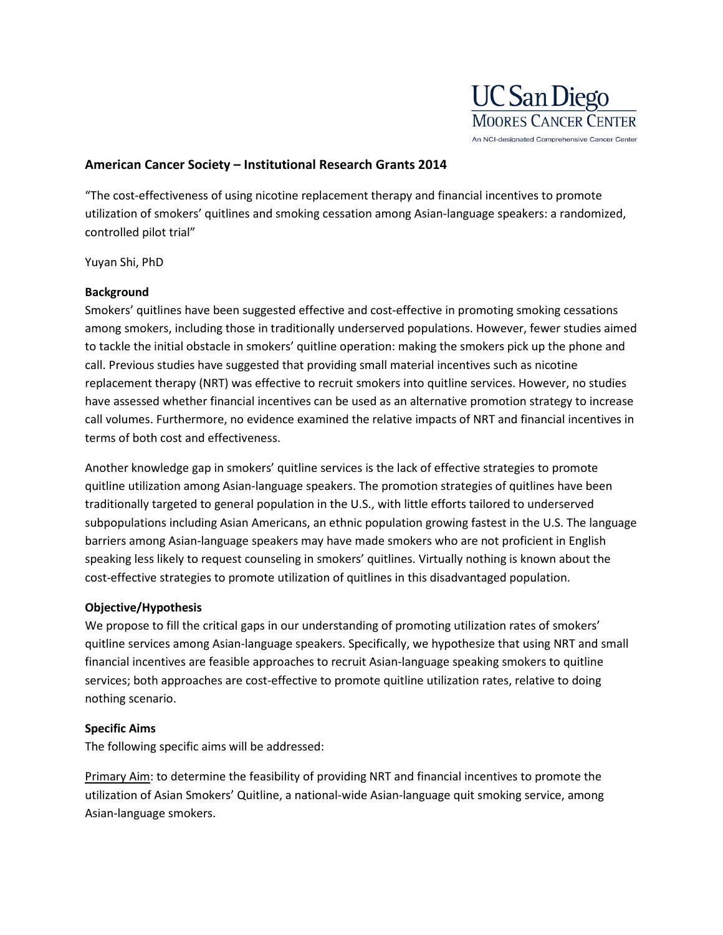

# **American Cancer Society – Institutional Research Grants 2014**

"The cost-effectiveness of using nicotine replacement therapy and financial incentives to promote utilization of smokers' quitlines and smoking cessation among Asian-language speakers: a randomized, controlled pilot trial"

Yuyan Shi, PhD

#### **Background**

Smokers' quitlines have been suggested effective and cost-effective in promoting smoking cessations among smokers, including those in traditionally underserved populations. However, fewer studies aimed to tackle the initial obstacle in smokers' quitline operation: making the smokers pick up the phone and call. Previous studies have suggested that providing small material incentives such as nicotine replacement therapy (NRT) was effective to recruit smokers into quitline services. However, no studies have assessed whether financial incentives can be used as an alternative promotion strategy to increase call volumes. Furthermore, no evidence examined the relative impacts of NRT and financial incentives in terms of both cost and effectiveness.

Another knowledge gap in smokers' quitline services is the lack of effective strategies to promote quitline utilization among Asian-language speakers. The promotion strategies of quitlines have been traditionally targeted to general population in the U.S., with little efforts tailored to underserved subpopulations including Asian Americans, an ethnic population growing fastest in the U.S. The language barriers among Asian-language speakers may have made smokers who are not proficient in English speaking less likely to request counseling in smokers' quitlines. Virtually nothing is known about the cost-effective strategies to promote utilization of quitlines in this disadvantaged population.

#### **Objective/Hypothesis**

We propose to fill the critical gaps in our understanding of promoting utilization rates of smokers' quitline services among Asian-language speakers. Specifically, we hypothesize that using NRT and small financial incentives are feasible approaches to recruit Asian-language speaking smokers to quitline services; both approaches are cost-effective to promote quitline utilization rates, relative to doing nothing scenario.

## **Specific Aims**

The following specific aims will be addressed:

Primary Aim: to determine the feasibility of providing NRT and financial incentives to promote the utilization of Asian Smokers' Quitline, a national-wide Asian-language quit smoking service, among Asian-language smokers.